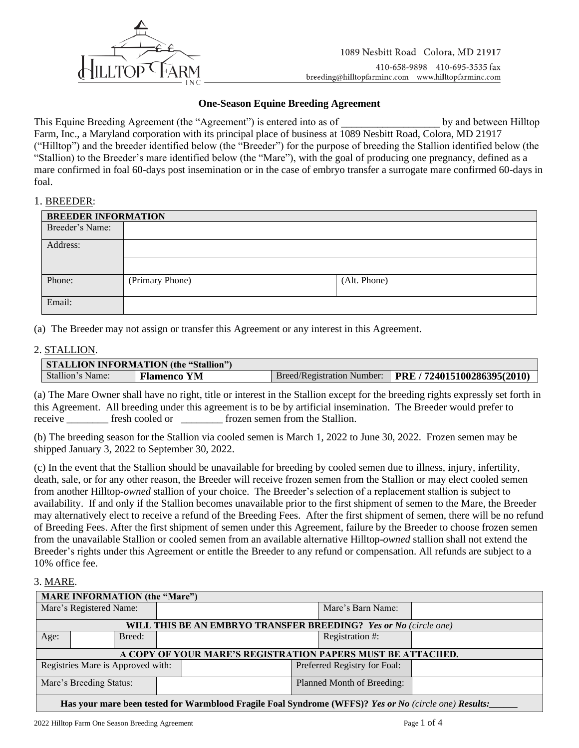

## **One-Season Equine Breeding Agreement**

This Equine Breeding Agreement (the "Agreement") is entered into as of the state by and between Hilltop Farm, Inc., a Maryland corporation with its principal place of business at 1089 Nesbitt Road, Colora, MD 21917 ("Hilltop") and the breeder identified below (the "Breeder") for the purpose of breeding the Stallion identified below (the "Stallion) to the Breeder's mare identified below (the "Mare"), with the goal of producing one pregnancy, defined as a mare confirmed in foal 60-days post insemination or in the case of embryo transfer a surrogate mare confirmed 60-days in foal.

#### 1. BREEDER:

| <b>BREEDER INFORMATION</b> |                 |              |  |
|----------------------------|-----------------|--------------|--|
| Breeder's Name:            |                 |              |  |
| Address:                   |                 |              |  |
|                            |                 |              |  |
| Phone:                     | (Primary Phone) | (Alt. Phone) |  |
| Email:                     |                 |              |  |

(a) The Breeder may not assign or transfer this Agreement or any interest in this Agreement.

### 2. STALLION.

| <b>STALLION INFORMATION (the "Stallion")</b> |                    |                            |                             |  |
|----------------------------------------------|--------------------|----------------------------|-----------------------------|--|
| Stallion's Name:                             | <b>Flamenco YM</b> | Breed/Registration Number: | PRE / 724015100286395(2010) |  |

(a) The Mare Owner shall have no right, title or interest in the Stallion except for the breeding rights expressly set forth in this Agreement. All breeding under this agreement is to be by artificial insemination. The Breeder would prefer to receive \_\_\_\_\_\_\_\_\_\_ fresh cooled or frozen semen from the Stallion.

(b) The breeding season for the Stallion via cooled semen is March 1, 2022 to June 30, 2022. Frozen semen may be shipped January 3, 2022 to September 30, 2022.

(c) In the event that the Stallion should be unavailable for breeding by cooled semen due to illness, injury, infertility, death, sale, or for any other reason, the Breeder will receive frozen semen from the Stallion or may elect cooled semen from another Hilltop-*owned* stallion of your choice. The Breeder's selection of a replacement stallion is subject to availability. If and only if the Stallion becomes unavailable prior to the first shipment of semen to the Mare, the Breeder may alternatively elect to receive a refund of the Breeding Fees. After the first shipment of semen, there will be no refund of Breeding Fees. After the first shipment of semen under this Agreement, failure by the Breeder to choose frozen semen from the unavailable Stallion or cooled semen from an available alternative Hilltop-*owned* stallion shall not extend the Breeder's rights under this Agreement or entitle the Breeder to any refund or compensation. All refunds are subject to a 10% office fee.

### 3. MARE.

| <b>MARE INFORMATION (the "Mare")</b>                                                                  |                                                                   |                            |  |                 |  |  |
|-------------------------------------------------------------------------------------------------------|-------------------------------------------------------------------|----------------------------|--|-----------------|--|--|
| Mare's Registered Name:                                                                               |                                                                   | Mare's Barn Name:          |  |                 |  |  |
| <b>WILL THIS BE AN EMBRYO TRANSFER BREEDING?</b> Yes or No (circle one)                               |                                                                   |                            |  |                 |  |  |
| Age:                                                                                                  |                                                                   | Breed:                     |  | Registration #: |  |  |
| A COPY OF YOUR MARE'S REGISTRATION PAPERS MUST BE ATTACHED.                                           |                                                                   |                            |  |                 |  |  |
|                                                                                                       | Registries Mare is Approved with:<br>Preferred Registry for Foal: |                            |  |                 |  |  |
| Mare's Breeding Status:                                                                               |                                                                   | Planned Month of Breeding: |  |                 |  |  |
| Has your mare been tested for Warmblood Fragile Foal Syndrome (WFFS)? Yes or No (circle one) Results: |                                                                   |                            |  |                 |  |  |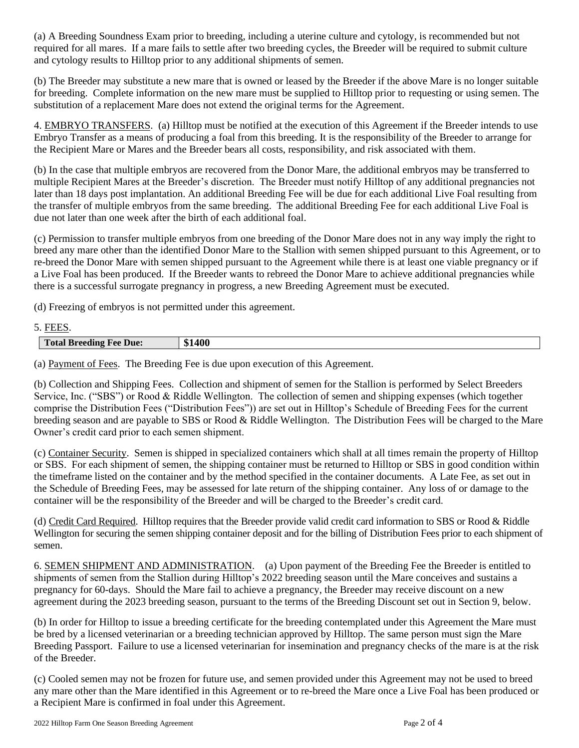(a) A Breeding Soundness Exam prior to breeding, including a uterine culture and cytology, is recommended but not required for all mares. If a mare fails to settle after two breeding cycles, the Breeder will be required to submit culture and cytology results to Hilltop prior to any additional shipments of semen.

(b) The Breeder may substitute a new mare that is owned or leased by the Breeder if the above Mare is no longer suitable for breeding. Complete information on the new mare must be supplied to Hilltop prior to requesting or using semen. The substitution of a replacement Mare does not extend the original terms for the Agreement.

4. EMBRYO TRANSFERS. (a) Hilltop must be notified at the execution of this Agreement if the Breeder intends to use Embryo Transfer as a means of producing a foal from this breeding. It is the responsibility of the Breeder to arrange for the Recipient Mare or Mares and the Breeder bears all costs, responsibility, and risk associated with them.

(b) In the case that multiple embryos are recovered from the Donor Mare, the additional embryos may be transferred to multiple Recipient Mares at the Breeder's discretion. The Breeder must notify Hilltop of any additional pregnancies not later than 18 days post implantation. An additional Breeding Fee will be due for each additional Live Foal resulting from the transfer of multiple embryos from the same breeding. The additional Breeding Fee for each additional Live Foal is due not later than one week after the birth of each additional foal.

(c) Permission to transfer multiple embryos from one breeding of the Donor Mare does not in any way imply the right to breed any mare other than the identified Donor Mare to the Stallion with semen shipped pursuant to this Agreement, or to re-breed the Donor Mare with semen shipped pursuant to the Agreement while there is at least one viable pregnancy or if a Live Foal has been produced. If the Breeder wants to rebreed the Donor Mare to achieve additional pregnancies while there is a successful surrogate pregnancy in progress, a new Breeding Agreement must be executed.

(d) Freezing of embryos is not permitted under this agreement.

# 5. FEES.

| $\mathbf{A}$<br>$\mathbf{a}$<br>чπ |
|------------------------------------|
|                                    |

(a) Payment of Fees. The Breeding Fee is due upon execution of this Agreement.

(b) Collection and Shipping Fees. Collection and shipment of semen for the Stallion is performed by Select Breeders Service, Inc. ("SBS") or Rood & Riddle Wellington. The collection of semen and shipping expenses (which together comprise the Distribution Fees ("Distribution Fees")) are set out in Hilltop's Schedule of Breeding Fees for the current breeding season and are payable to SBS or Rood & Riddle Wellington. The Distribution Fees will be charged to the Mare Owner's credit card prior to each semen shipment.

(c) Container Security. Semen is shipped in specialized containers which shall at all times remain the property of Hilltop or SBS. For each shipment of semen, the shipping container must be returned to Hilltop or SBS in good condition within the timeframe listed on the container and by the method specified in the container documents. A Late Fee, as set out in the Schedule of Breeding Fees, may be assessed for late return of the shipping container. Any loss of or damage to the container will be the responsibility of the Breeder and will be charged to the Breeder's credit card.

(d) Credit Card Required. Hilltop requires that the Breeder provide valid credit card information to SBS or Rood & Riddle Wellington for securing the semen shipping container deposit and for the billing of Distribution Fees prior to each shipment of semen.

6. SEMEN SHIPMENT AND ADMINISTRATION. (a) Upon payment of the Breeding Fee the Breeder is entitled to shipments of semen from the Stallion during Hilltop's 2022 breeding season until the Mare conceives and sustains a pregnancy for 60-days. Should the Mare fail to achieve a pregnancy, the Breeder may receive discount on a new agreement during the 2023 breeding season, pursuant to the terms of the Breeding Discount set out in Section 9, below.

(b) In order for Hilltop to issue a breeding certificate for the breeding contemplated under this Agreement the Mare must be bred by a licensed veterinarian or a breeding technician approved by Hilltop. The same person must sign the Mare Breeding Passport. Failure to use a licensed veterinarian for insemination and pregnancy checks of the mare is at the risk of the Breeder.

(c) Cooled semen may not be frozen for future use, and semen provided under this Agreement may not be used to breed any mare other than the Mare identified in this Agreement or to re-breed the Mare once a Live Foal has been produced or a Recipient Mare is confirmed in foal under this Agreement.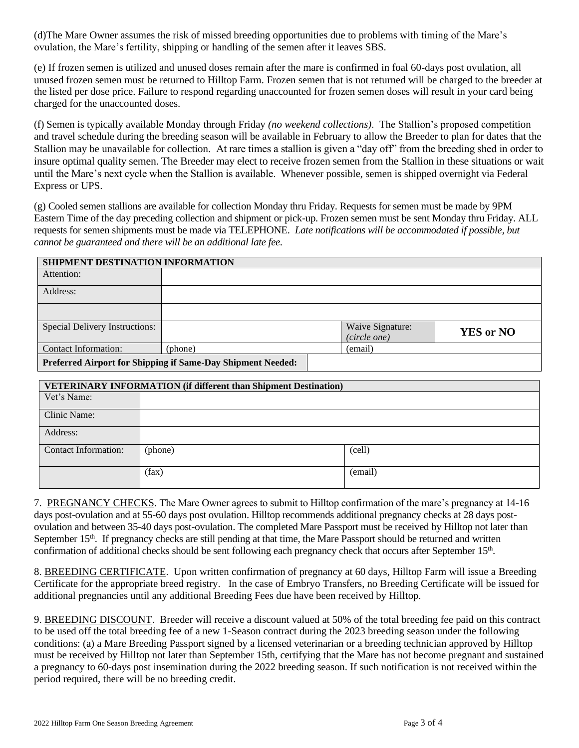(d)The Mare Owner assumes the risk of missed breeding opportunities due to problems with timing of the Mare's ovulation, the Mare's fertility, shipping or handling of the semen after it leaves SBS.

(e) If frozen semen is utilized and unused doses remain after the mare is confirmed in foal 60-days post ovulation, all unused frozen semen must be returned to Hilltop Farm. Frozen semen that is not returned will be charged to the breeder at the listed per dose price. Failure to respond regarding unaccounted for frozen semen doses will result in your card being charged for the unaccounted doses.

(f) Semen is typically available Monday through Friday *(no weekend collections)*. The Stallion's proposed competition and travel schedule during the breeding season will be available in February to allow the Breeder to plan for dates that the Stallion may be unavailable for collection. At rare times a stallion is given a "day off" from the breeding shed in order to insure optimal quality semen. The Breeder may elect to receive frozen semen from the Stallion in these situations or wait until the Mare's next cycle when the Stallion is available. Whenever possible, semen is shipped overnight via Federal Express or UPS.

(g) Cooled semen stallions are available for collection Monday thru Friday. Requests for semen must be made by 9PM Eastern Time of the day preceding collection and shipment or pick-up. Frozen semen must be sent Monday thru Friday. ALL requests for semen shipments must be made via TELEPHONE. *Late notifications will be accommodated if possible, but cannot be guaranteed and there will be an additional late fee.*

| SHIPMENT DESTINATION INFORMATION                            |         |                  |                  |  |
|-------------------------------------------------------------|---------|------------------|------------------|--|
| Attention:                                                  |         |                  |                  |  |
| Address:                                                    |         |                  |                  |  |
|                                                             |         |                  |                  |  |
| Special Delivery Instructions:                              |         | Waive Signature: | <b>YES or NO</b> |  |
|                                                             |         | (circle one)     |                  |  |
| <b>Contact Information:</b>                                 | (phone) | (email)          |                  |  |
| Preferred Airport for Shipping if Same-Day Shipment Needed: |         |                  |                  |  |

| <b>VETERINARY INFORMATION (if different than Shipment Destination)</b> |         |         |  |
|------------------------------------------------------------------------|---------|---------|--|
| Vet's Name:                                                            |         |         |  |
| Clinic Name:                                                           |         |         |  |
| Address:                                                               |         |         |  |
| <b>Contact Information:</b>                                            | (phone) | (cell)  |  |
|                                                                        | (fax)   | (email) |  |

7. PREGNANCY CHECKS. The Mare Owner agrees to submit to Hilltop confirmation of the mare's pregnancy at 14-16 days post-ovulation and at 55-60 days post ovulation. Hilltop recommends additional pregnancy checks at 28 days postovulation and between 35-40 days post-ovulation. The completed Mare Passport must be received by Hilltop not later than September  $15<sup>th</sup>$ . If pregnancy checks are still pending at that time, the Mare Passport should be returned and written confirmation of additional checks should be sent following each pregnancy check that occurs after September 15<sup>th</sup>.

8. BREEDING CERTIFICATE. Upon written confirmation of pregnancy at 60 days, Hilltop Farm will issue a Breeding Certificate for the appropriate breed registry. In the case of Embryo Transfers, no Breeding Certificate will be issued for additional pregnancies until any additional Breeding Fees due have been received by Hilltop.

9. BREEDING DISCOUNT. Breeder will receive a discount valued at 50% of the total breeding fee paid on this contract to be used off the total breeding fee of a new 1-Season contract during the 2023 breeding season under the following conditions: (a) a Mare Breeding Passport signed by a licensed veterinarian or a breeding technician approved by Hilltop must be received by Hilltop not later than September 15th, certifying that the Mare has not become pregnant and sustained a pregnancy to 60-days post insemination during the 2022 breeding season. If such notification is not received within the period required, there will be no breeding credit.